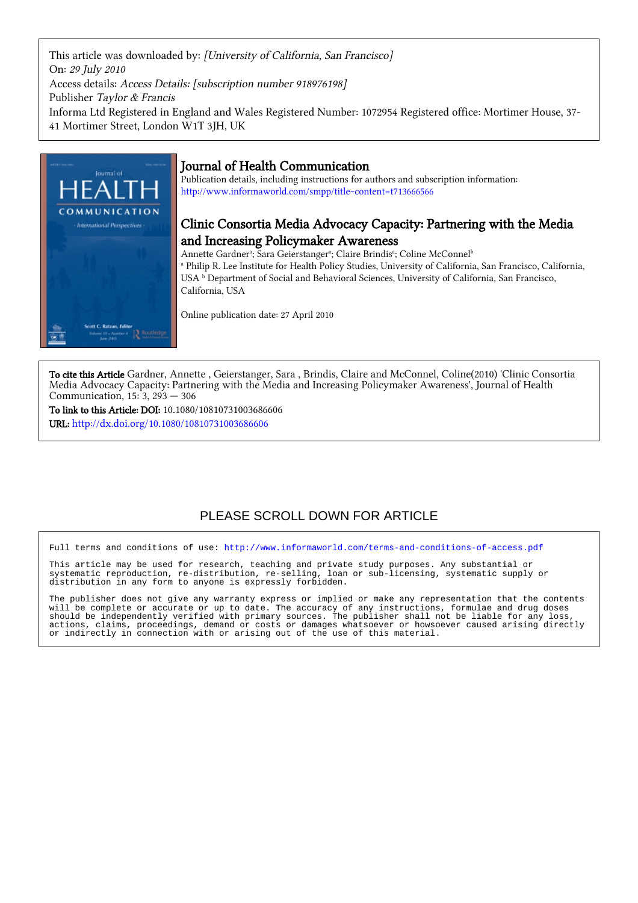This article was downloaded by: [University of California, San Francisco] On: 29 July 2010 Access details: Access Details: [subscription number 918976198] Publisher Taylor & Francis Informa Ltd Registered in England and Wales Registered Number: 1072954 Registered office: Mortimer House, 37- 41 Mortimer Street, London W1T 3JH, UK



## Journal of Health Communication

Publication details, including instructions for authors and subscription information: <http://www.informaworld.com/smpp/title~content=t713666566>

## Clinic Consortia Media Advocacy Capacity: Partnering with the Media and Increasing Policymaker Awareness

Annette Gardner<sup>a</sup>; Sara Geierstanger<sup>a</sup>; Claire Brindis<sup>a</sup>; Coline McConnel<sup>b</sup>

a Philip R. Lee Institute for Health Policy Studies, University of California, San Francisco, California, USA <sup>b</sup> Department of Social and Behavioral Sciences, University of California, San Francisco, California, USA

Online publication date: 27 April 2010

To cite this Article Gardner, Annette , Geierstanger, Sara , Brindis, Claire and McConnel, Coline(2010) 'Clinic Consortia Media Advocacy Capacity: Partnering with the Media and Increasing Policymaker Awareness', Journal of Health Communication, 15: 3, 293 — 306

To link to this Article: DOI: 10.1080/10810731003686606 URL: <http://dx.doi.org/10.1080/10810731003686606>

## PLEASE SCROLL DOWN FOR ARTICLE

Full terms and conditions of use:<http://www.informaworld.com/terms-and-conditions-of-access.pdf>

This article may be used for research, teaching and private study purposes. Any substantial or<br>systematic reproduction, re-distribution, re-selling, loan or sub-licensing, systematic supply or systematic reproduction, re-distribution, re-selling, loan or sub-licensing, systematic supply or distribution in any form to anyone is expressly forbidden.

The publisher does not give any warranty express or implied or make any representation that the contents will be complete or accurate or up to date. The accuracy of any instructions, formulae and drug doses should be independently verified with primary sources. The publisher shall not be liable for any loss, actions, claims, proceedings, demand or costs or damages whatsoever or howsoever caused arising directly or indirectly in connection with or arising out of the use of this material.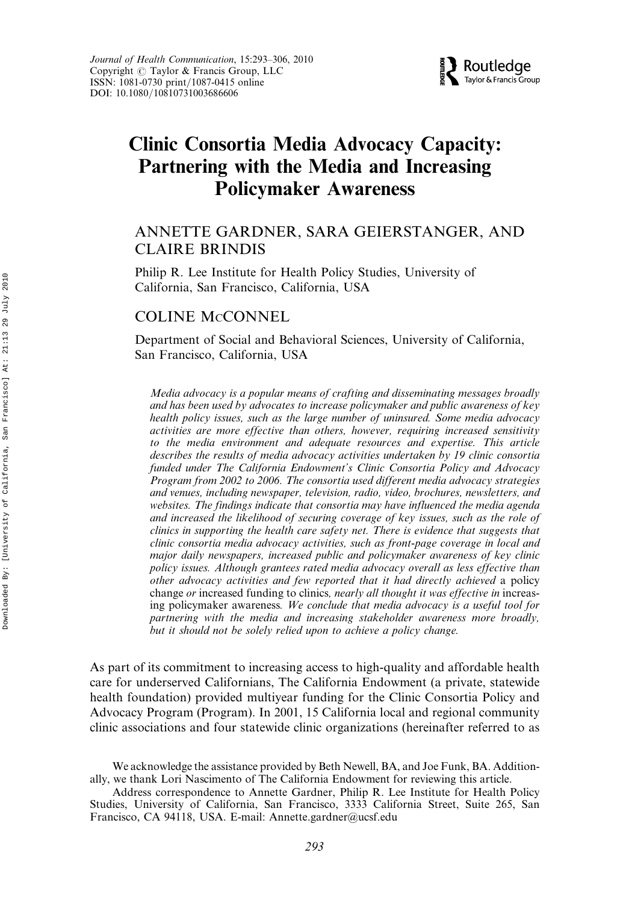

# Clinic Consortia Media Advocacy Capacity: Partnering with the Media and Increasing Policymaker Awareness

## ANNETTE GARDNER, SARA GEIERSTANGER, AND CLAIRE BRINDIS

Philip R. Lee Institute for Health Policy Studies, University of California, San Francisco, California, USA

### COLINE McCONNEL

Department of Social and Behavioral Sciences, University of California, San Francisco, California, USA

Media advocacy is a popular means of crafting and disseminating messages broadly and has been used by advocates to increase policymaker and public awareness of key health policy issues, such as the large number of uninsured. Some media advocacy activities are more effective than others, however, requiring increased sensitivity to the media environment and adequate resources and expertise. This article describes the results of media advocacy activities undertaken by 19 clinic consortia funded under The California Endowment's Clinic Consortia Policy and Advocacy Program from 2002 to 2006. The consortia used different media advocacy strategies and venues, including newspaper, television, radio, video, brochures, newsletters, and websites. The findings indicate that consortia may have influenced the media agenda and increased the likelihood of securing coverage of key issues, such as the role of clinics in supporting the health care safety net. There is evidence that suggests that clinic consortia media advocacy activities, such as front-page coverage in local and major daily newspapers, increased public and policymaker awareness of key clinic policy issues. Although grantees rated media advocacy overall as less effective than other advocacy activities and few reported that it had directly achieved a policy change or increased funding to clinics, nearly all thought it was effective in increasing policymaker awareness. We conclude that media advocacy is a useful tool for partnering with the media and increasing stakeholder awareness more broadly, but it should not be solely relied upon to achieve a policy change.

As part of its commitment to increasing access to high-quality and affordable health care for underserved Californians, The California Endowment (a private, statewide health foundation) provided multiyear funding for the Clinic Consortia Policy and Advocacy Program (Program). In 2001, 15 California local and regional community clinic associations and four statewide clinic organizations (hereinafter referred to as

We acknowledge the assistance provided by Beth Newell, BA, and Joe Funk, BA. Additionally, we thank Lori Nascimento of The California Endowment for reviewing this article.

Address correspondence to Annette Gardner, Philip R. Lee Institute for Health Policy Studies, University of California, San Francisco, 3333 California Street, Suite 265, San Francisco, CA 94118, USA. E-mail: Annette.gardner@ucsf.edu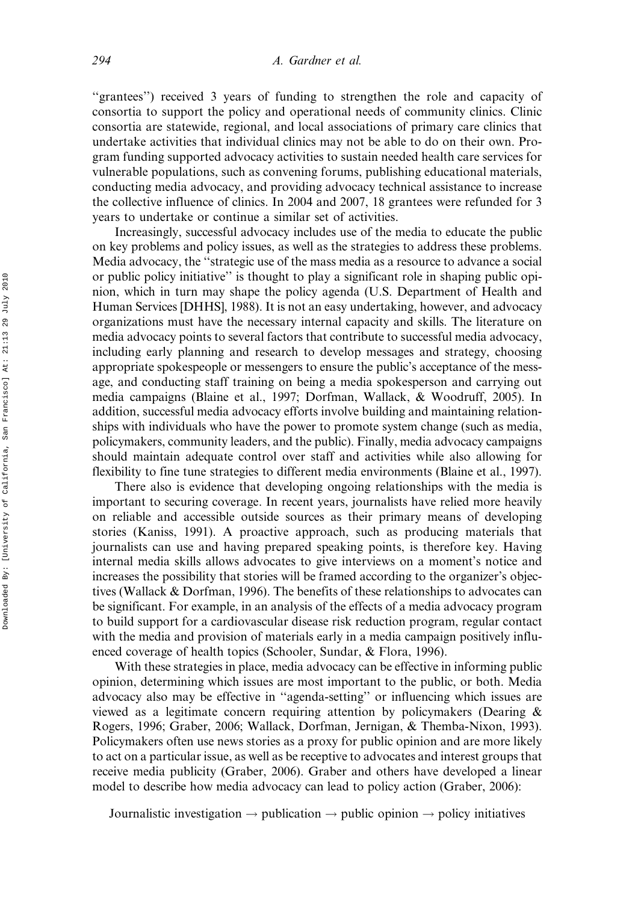''grantees'') received 3 years of funding to strengthen the role and capacity of consortia to support the policy and operational needs of community clinics. Clinic consortia are statewide, regional, and local associations of primary care clinics that undertake activities that individual clinics may not be able to do on their own. Program funding supported advocacy activities to sustain needed health care services for vulnerable populations, such as convening forums, publishing educational materials, conducting media advocacy, and providing advocacy technical assistance to increase the collective influence of clinics. In 2004 and 2007, 18 grantees were refunded for 3 years to undertake or continue a similar set of activities.

Increasingly, successful advocacy includes use of the media to educate the public on key problems and policy issues, as well as the strategies to address these problems. Media advocacy, the ''strategic use of the mass media as a resource to advance a social or public policy initiative'' is thought to play a significant role in shaping public opinion, which in turn may shape the policy agenda (U.S. Department of Health and Human Services [DHHS], 1988). It is not an easy undertaking, however, and advocacy organizations must have the necessary internal capacity and skills. The literature on media advocacy points to several factors that contribute to successful media advocacy, including early planning and research to develop messages and strategy, choosing appropriate spokespeople or messengers to ensure the public's acceptance of the message, and conducting staff training on being a media spokesperson and carrying out media campaigns (Blaine et al., 1997; Dorfman, Wallack, & Woodruff, 2005). In addition, successful media advocacy efforts involve building and maintaining relationships with individuals who have the power to promote system change (such as media, policymakers, community leaders, and the public). Finally, media advocacy campaigns should maintain adequate control over staff and activities while also allowing for flexibility to fine tune strategies to different media environments (Blaine et al., 1997).

There also is evidence that developing ongoing relationships with the media is important to securing coverage. In recent years, journalists have relied more heavily on reliable and accessible outside sources as their primary means of developing stories (Kaniss, 1991). A proactive approach, such as producing materials that journalists can use and having prepared speaking points, is therefore key. Having internal media skills allows advocates to give interviews on a moment's notice and increases the possibility that stories will be framed according to the organizer's objectives (Wallack & Dorfman, 1996). The benefits of these relationships to advocates can be significant. For example, in an analysis of the effects of a media advocacy program to build support for a cardiovascular disease risk reduction program, regular contact with the media and provision of materials early in a media campaign positively influenced coverage of health topics (Schooler, Sundar, & Flora, 1996).

With these strategies in place, media advocacy can be effective in informing public opinion, determining which issues are most important to the public, or both. Media advocacy also may be effective in ''agenda-setting'' or influencing which issues are viewed as a legitimate concern requiring attention by policymakers (Dearing & Rogers, 1996; Graber, 2006; Wallack, Dorfman, Jernigan, & Themba-Nixon, 1993). Policymakers often use news stories as a proxy for public opinion and are more likely to act on a particular issue, as well as be receptive to advocates and interest groups that receive media publicity (Graber, 2006). Graber and others have developed a linear model to describe how media advocacy can lead to policy action (Graber, 2006):

Journalistic investigation  $\rightarrow$  publication  $\rightarrow$  public opinion  $\rightarrow$  policy initiatives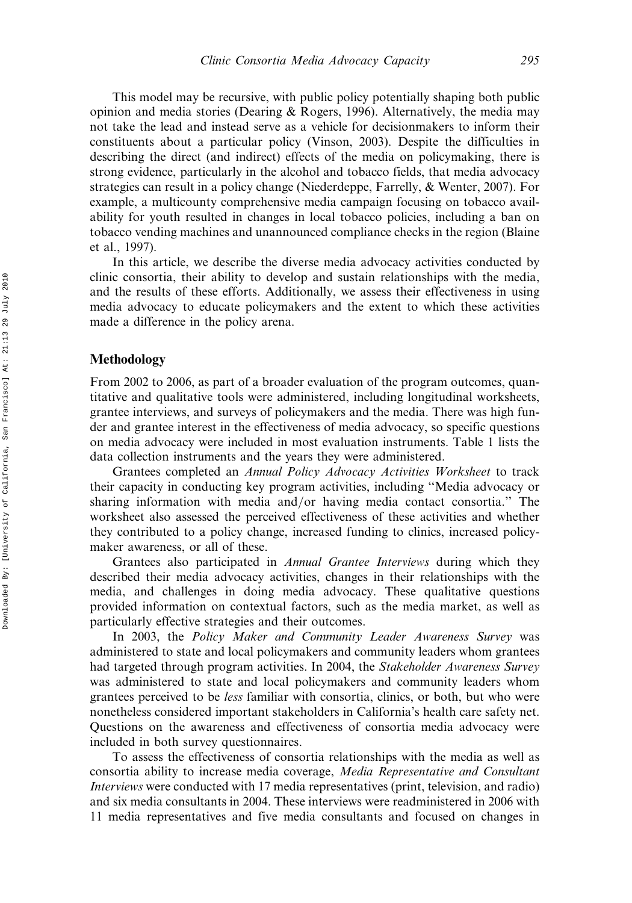This model may be recursive, with public policy potentially shaping both public opinion and media stories (Dearing  $\&$  Rogers, 1996). Alternatively, the media may not take the lead and instead serve as a vehicle for decisionmakers to inform their constituents about a particular policy (Vinson, 2003). Despite the difficulties in describing the direct (and indirect) effects of the media on policymaking, there is strong evidence, particularly in the alcohol and tobacco fields, that media advocacy strategies can result in a policy change (Niederdeppe, Farrelly, & Wenter, 2007). For example, a multicounty comprehensive media campaign focusing on tobacco availability for youth resulted in changes in local tobacco policies, including a ban on tobacco vending machines and unannounced compliance checks in the region (Blaine et al., 1997).

In this article, we describe the diverse media advocacy activities conducted by clinic consortia, their ability to develop and sustain relationships with the media, and the results of these efforts. Additionally, we assess their effectiveness in using media advocacy to educate policymakers and the extent to which these activities made a difference in the policy arena.

#### Methodology

From 2002 to 2006, as part of a broader evaluation of the program outcomes, quantitative and qualitative tools were administered, including longitudinal worksheets, grantee interviews, and surveys of policymakers and the media. There was high funder and grantee interest in the effectiveness of media advocacy, so specific questions on media advocacy were included in most evaluation instruments. Table 1 lists the data collection instruments and the years they were administered.

Grantees completed an Annual Policy Advocacy Activities Worksheet to track their capacity in conducting key program activities, including ''Media advocacy or sharing information with media and/or having media contact consortia.'' The worksheet also assessed the perceived effectiveness of these activities and whether they contributed to a policy change, increased funding to clinics, increased policymaker awareness, or all of these.

Grantees also participated in Annual Grantee Interviews during which they described their media advocacy activities, changes in their relationships with the media, and challenges in doing media advocacy. These qualitative questions provided information on contextual factors, such as the media market, as well as particularly effective strategies and their outcomes.

In 2003, the Policy Maker and Community Leader Awareness Survey was administered to state and local policymakers and community leaders whom grantees had targeted through program activities. In 2004, the Stakeholder Awareness Survey was administered to state and local policymakers and community leaders whom grantees perceived to be less familiar with consortia, clinics, or both, but who were nonetheless considered important stakeholders in California's health care safety net. Questions on the awareness and effectiveness of consortia media advocacy were included in both survey questionnaires.

To assess the effectiveness of consortia relationships with the media as well as consortia ability to increase media coverage, Media Representative and Consultant Interviews were conducted with 17 media representatives (print, television, and radio) and six media consultants in 2004. These interviews were readministered in 2006 with 11 media representatives and five media consultants and focused on changes in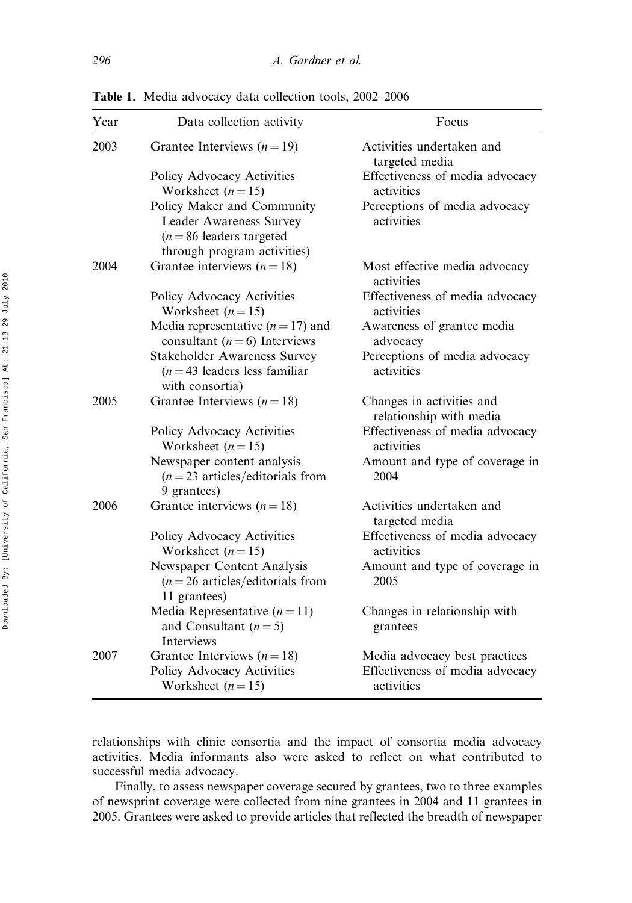| Year | Data collection activity                                                                                         | Focus                                                            |
|------|------------------------------------------------------------------------------------------------------------------|------------------------------------------------------------------|
| 2003 | Grantee Interviews $(n=19)$                                                                                      | Activities undertaken and<br>targeted media                      |
|      | Policy Advocacy Activities<br>Worksheet $(n = 15)$                                                               | Effectiveness of media advocacy<br>activities                    |
|      | Policy Maker and Community<br>Leader Awareness Survey<br>$(n=86$ leaders targeted<br>through program activities) | Perceptions of media advocacy<br>activities                      |
| 2004 | Grantee interviews $(n=18)$                                                                                      | Most effective media advocacy<br>activities                      |
|      | Policy Advocacy Activities<br>Worksheet $(n=15)$                                                                 | Effectiveness of media advocacy<br>activities                    |
|      | Media representative $(n = 17)$ and<br>consultant ( $n = 6$ ) Interviews                                         | Awareness of grantee media<br>advocacy                           |
|      | Stakeholder Awareness Survey<br>$(n=43$ leaders less familiar<br>with consortia)                                 | Perceptions of media advocacy<br>activities                      |
| 2005 | Grantee Interviews $(n=18)$                                                                                      | Changes in activities and<br>relationship with media             |
|      | Policy Advocacy Activities<br>Worksheet $(n=15)$                                                                 | Effectiveness of media advocacy<br>activities                    |
|      | Newspaper content analysis<br>$(n=23$ articles/editorials from<br>9 grantees)                                    | Amount and type of coverage in<br>2004                           |
| 2006 | Grantee interviews $(n=18)$                                                                                      | Activities undertaken and<br>targeted media                      |
|      | Policy Advocacy Activities<br>Worksheet $(n=15)$                                                                 | Effectiveness of media advocacy<br>activities                    |
|      | Newspaper Content Analysis<br>$(n=26$ articles/editorials from<br>11 grantees)                                   | Amount and type of coverage in<br>2005                           |
|      | Media Representative $(n=11)$<br>and Consultant $(n=5)$<br>Interviews                                            | Changes in relationship with<br>grantees                         |
| 2007 | Grantee Interviews ( $n = 18$ )<br>Policy Advocacy Activities                                                    | Media advocacy best practices<br>Effectiveness of media advocacy |
|      | Worksheet $(n=15)$                                                                                               | activities                                                       |

Table 1. Media advocacy data collection tools, 2002–2006

relationships with clinic consortia and the impact of consortia media advocacy activities. Media informants also were asked to reflect on what contributed to successful media advocacy.

Finally, to assess newspaper coverage secured by grantees, two to three examples of newsprint coverage were collected from nine grantees in 2004 and 11 grantees in 2005. Grantees were asked to provide articles that reflected the breadth of newspaper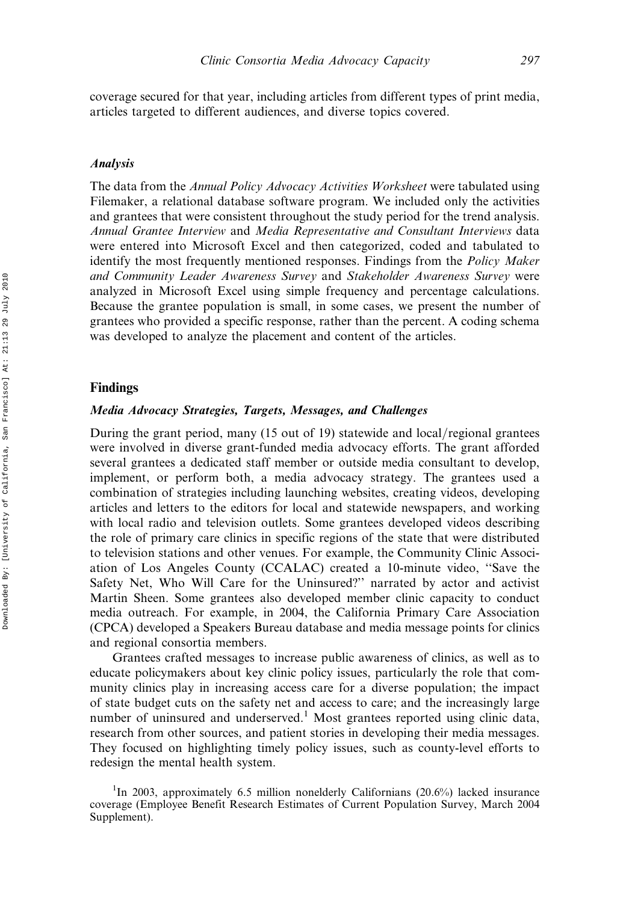coverage secured for that year, including articles from different types of print media, articles targeted to different audiences, and diverse topics covered.

#### Analysis

The data from the Annual Policy Advocacy Activities Worksheet were tabulated using Filemaker, a relational database software program. We included only the activities and grantees that were consistent throughout the study period for the trend analysis. Annual Grantee Interview and Media Representative and Consultant Interviews data were entered into Microsoft Excel and then categorized, coded and tabulated to identify the most frequently mentioned responses. Findings from the *Policy Maker* and Community Leader Awareness Survey and Stakeholder Awareness Survey were analyzed in Microsoft Excel using simple frequency and percentage calculations. Because the grantee population is small, in some cases, we present the number of grantees who provided a specific response, rather than the percent. A coding schema was developed to analyze the placement and content of the articles.

#### Findings

#### Media Advocacy Strategies, Targets, Messages, and Challenges

During the grant period, many (15 out of 19) statewide and local/regional grantees were involved in diverse grant-funded media advocacy efforts. The grant afforded several grantees a dedicated staff member or outside media consultant to develop, implement, or perform both, a media advocacy strategy. The grantees used a combination of strategies including launching websites, creating videos, developing articles and letters to the editors for local and statewide newspapers, and working with local radio and television outlets. Some grantees developed videos describing the role of primary care clinics in specific regions of the state that were distributed to television stations and other venues. For example, the Community Clinic Association of Los Angeles County (CCALAC) created a 10-minute video, ''Save the Safety Net, Who Will Care for the Uninsured?'' narrated by actor and activist Martin Sheen. Some grantees also developed member clinic capacity to conduct media outreach. For example, in 2004, the California Primary Care Association (CPCA) developed a Speakers Bureau database and media message points for clinics and regional consortia members.

Grantees crafted messages to increase public awareness of clinics, as well as to educate policymakers about key clinic policy issues, particularly the role that community clinics play in increasing access care for a diverse population; the impact of state budget cuts on the safety net and access to care; and the increasingly large number of uninsured and underserved.<sup>1</sup> Most grantees reported using clinic data, research from other sources, and patient stories in developing their media messages. They focused on highlighting timely policy issues, such as county-level efforts to redesign the mental health system.

<sup>&</sup>lt;sup>1</sup>In 2003, approximately 6.5 million nonelderly Californians (20.6%) lacked insurance coverage (Employee Benefit Research Estimates of Current Population Survey, March 2004 Supplement).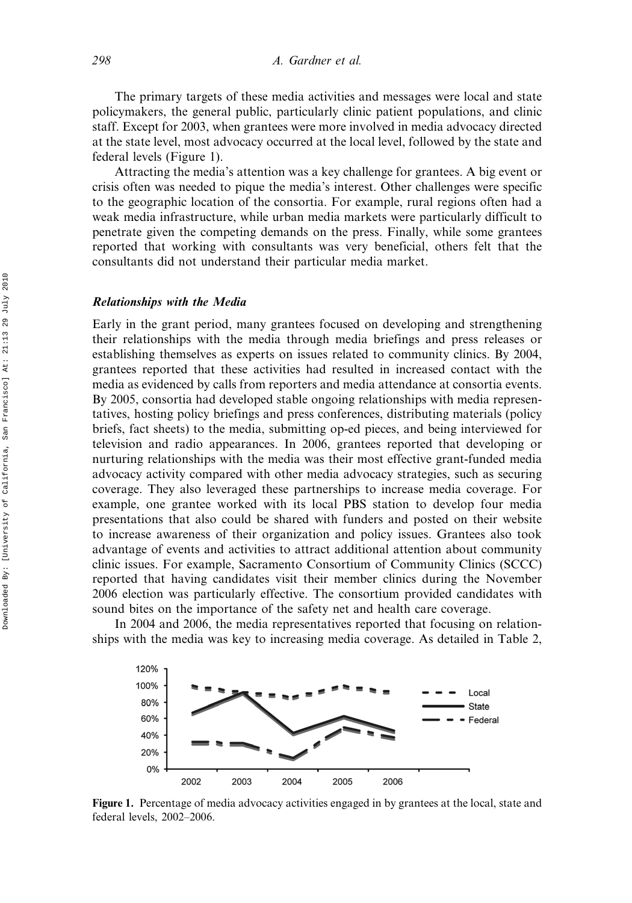The primary targets of these media activities and messages were local and state policymakers, the general public, particularly clinic patient populations, and clinic staff. Except for 2003, when grantees were more involved in media advocacy directed at the state level, most advocacy occurred at the local level, followed by the state and federal levels (Figure 1).

Attracting the media's attention was a key challenge for grantees. A big event or crisis often was needed to pique the media's interest. Other challenges were specific to the geographic location of the consortia. For example, rural regions often had a weak media infrastructure, while urban media markets were particularly difficult to penetrate given the competing demands on the press. Finally, while some grantees reported that working with consultants was very beneficial, others felt that the consultants did not understand their particular media market.

#### Relationships with the Media

Early in the grant period, many grantees focused on developing and strengthening their relationships with the media through media briefings and press releases or establishing themselves as experts on issues related to community clinics. By 2004, grantees reported that these activities had resulted in increased contact with the media as evidenced by calls from reporters and media attendance at consortia events. By 2005, consortia had developed stable ongoing relationships with media representatives, hosting policy briefings and press conferences, distributing materials (policy briefs, fact sheets) to the media, submitting op-ed pieces, and being interviewed for television and radio appearances. In 2006, grantees reported that developing or nurturing relationships with the media was their most effective grant-funded media advocacy activity compared with other media advocacy strategies, such as securing coverage. They also leveraged these partnerships to increase media coverage. For example, one grantee worked with its local PBS station to develop four media presentations that also could be shared with funders and posted on their website to increase awareness of their organization and policy issues. Grantees also took advantage of events and activities to attract additional attention about community clinic issues. For example, Sacramento Consortium of Community Clinics (SCCC) reported that having candidates visit their member clinics during the November 2006 election was particularly effective. The consortium provided candidates with sound bites on the importance of the safety net and health care coverage.

In 2004 and 2006, the media representatives reported that focusing on relationships with the media was key to increasing media coverage. As detailed in Table 2,



Figure 1. Percentage of media advocacy activities engaged in by grantees at the local, state and federal levels, 2002–2006.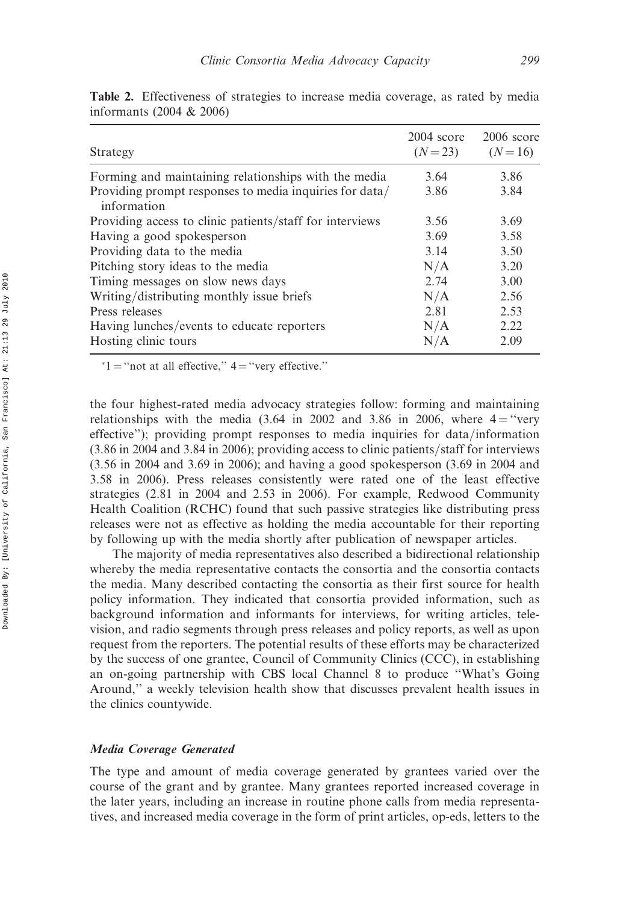| Strategy                                                               | $2004$ score<br>$(N=23)$ | $2006$ score<br>$(N=16)$ |
|------------------------------------------------------------------------|--------------------------|--------------------------|
| Forming and maintaining relationships with the media                   | 3.64                     | 3.86                     |
| Providing prompt responses to media inquiries for data/<br>information | 3.86                     | 3.84                     |
| Providing access to clinic patients/staff for interviews               | 3.56                     | 3.69                     |
| Having a good spokesperson                                             | 3.69                     | 3.58                     |
| Providing data to the media                                            | 3.14                     | 3.50                     |
| Pitching story ideas to the media                                      | N/A                      | 3.20                     |
| Timing messages on slow news days                                      | 2.74                     | 3.00                     |
| Writing/distributing monthly issue briefs                              | N/A                      | 2.56                     |
| Press releases                                                         | 2.81                     | 2.53                     |
| Having lunches/events to educate reporters                             | N/A                      | 2.22                     |
| Hosting clinic tours                                                   | N/A                      | 2.09                     |

Table 2. Effectiveness of strategies to increase media coverage, as rated by media informants (2004 & 2006)

 $i =$  "not at all effective,"  $4 =$  "very effective."

the four highest-rated media advocacy strategies follow: forming and maintaining relationships with the media (3.64 in 2002 and 3.86 in 2006, where  $4 =$  "very effective''); providing prompt responses to media inquiries for data/information  $(3.86 \text{ in } 2004 \text{ and } 3.84 \text{ in } 2006)$ ; providing access to clinic patients/staff for interviews (3.56 in 2004 and 3.69 in 2006); and having a good spokesperson (3.69 in 2004 and 3.58 in 2006). Press releases consistently were rated one of the least effective strategies (2.81 in 2004 and 2.53 in 2006). For example, Redwood Community Health Coalition (RCHC) found that such passive strategies like distributing press releases were not as effective as holding the media accountable for their reporting by following up with the media shortly after publication of newspaper articles.

The majority of media representatives also described a bidirectional relationship whereby the media representative contacts the consortia and the consortia contacts the media. Many described contacting the consortia as their first source for health policy information. They indicated that consortia provided information, such as background information and informants for interviews, for writing articles, television, and radio segments through press releases and policy reports, as well as upon request from the reporters. The potential results of these efforts may be characterized by the success of one grantee, Council of Community Clinics (CCC), in establishing an on-going partnership with CBS local Channel 8 to produce ''What's Going Around,'' a weekly television health show that discusses prevalent health issues in the clinics countywide.

#### Media Coverage Generated

The type and amount of media coverage generated by grantees varied over the course of the grant and by grantee. Many grantees reported increased coverage in the later years, including an increase in routine phone calls from media representatives, and increased media coverage in the form of print articles, op-eds, letters to the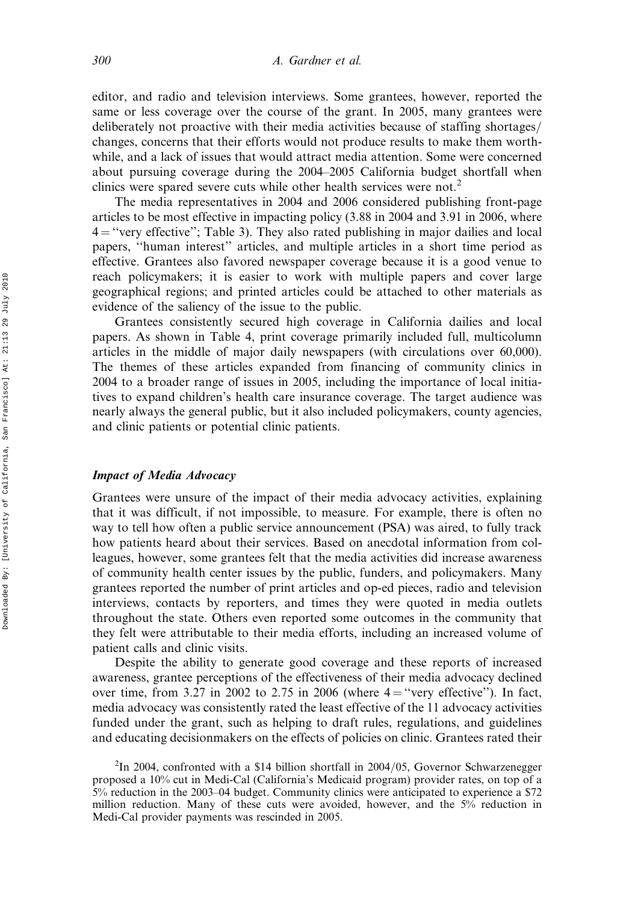editor, and radio and television interviews. Some grantees, however, reported the same or less coverage over the course of the grant. In 2005, many grantees were deliberately not proactive with their media activities because of staffing shortages/ changes, concerns that their efforts would not produce results to make them worthwhile, and a lack of issues that would attract media attention. Some were concerned about pursuing coverage during the 2004–2005 California budget shortfall when clinics were spared severe cuts while other health services were not.<sup>2</sup>

The media representatives in 2004 and 2006 considered publishing front-page articles to be most effective in impacting policy (3.88 in 2004 and 3.91 in 2006, where  $4 =$ "very effective"; Table 3). They also rated publishing in major dailies and local papers, ''human interest'' articles, and multiple articles in a short time period as effective. Grantees also favored newspaper coverage because it is a good venue to reach policymakers; it is easier to work with multiple papers and cover large geographical regions; and printed articles could be attached to other materials as evidence of the saliency of the issue to the public.

Grantees consistently secured high coverage in California dailies and local papers. As shown in Table 4, print coverage primarily included full, multicolumn articles in the middle of major daily newspapers (with circulations over 60,000). The themes of these articles expanded from financing of community clinics in 2004 to a broader range of issues in 2005, including the importance of local initiatives to expand children's health care insurance coverage. The target audience was nearly always the general public, but it also included policymakers, county agencies, and clinic patients or potential clinic patients.

#### Impact of Media Advocacy

Grantees were unsure of the impact of their media advocacy activities, explaining that it was difficult, if not impossible, to measure. For example, there is often no way to tell how often a public service announcement (PSA) was aired, to fully track how patients heard about their services. Based on anecdotal information from colleagues, however, some grantees felt that the media activities did increase awareness of community health center issues by the public, funders, and policymakers. Many grantees reported the number of print articles and op-ed pieces, radio and television interviews, contacts by reporters, and times they were quoted in media outlets throughout the state. Others even reported some outcomes in the community that they felt were attributable to their media efforts, including an increased volume of patient calls and clinic visits.

Despite the ability to generate good coverage and these reports of increased awareness, grantee perceptions of the effectiveness of their media advocacy declined over time, from  $3.27$  in 2002 to  $2.75$  in 2006 (where  $4 =$  "very effective"). In fact, media advocacy was consistently rated the least effective of the 11 advocacy activities funded under the grant, such as helping to draft rules, regulations, and guidelines and educating decisionmakers on the effects of policies on clinic. Grantees rated their

 ${}^{2}$ In 2004, confronted with a \$14 billion shortfall in 2004/05, Governor Schwarzenegger proposed a 10% cut in Medi-Cal (California's Medicaid program) provider rates, on top of a 5% reduction in the 2003–04 budget. Community clinics were anticipated to experience a \$72 million reduction. Many of these cuts were avoided, however, and the 5% reduction in Medi-Cal provider payments was rescinded in 2005.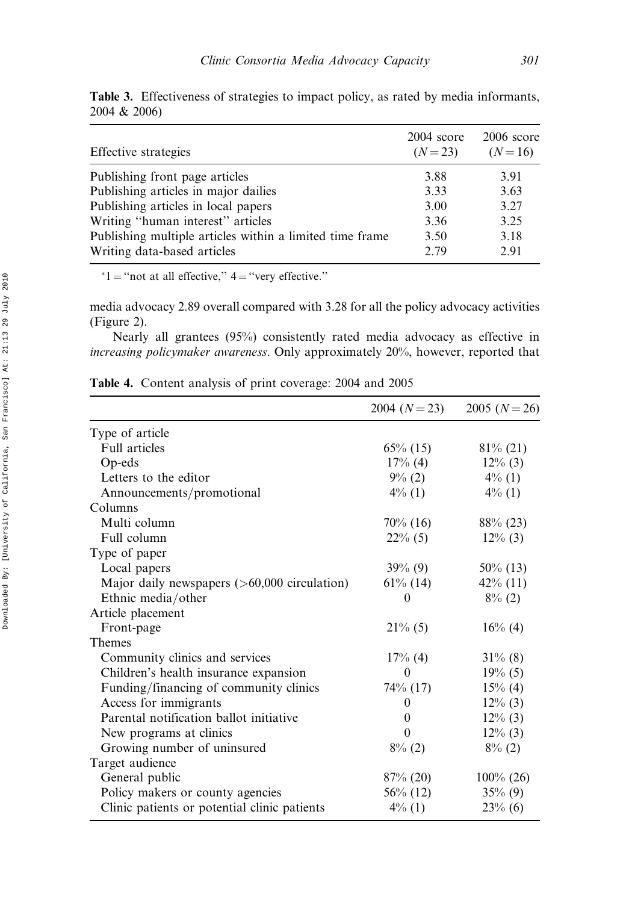| Effective strategies                                     | $2004$ score<br>$(N=23)$ | $2006$ score<br>$(N=16)$ |
|----------------------------------------------------------|--------------------------|--------------------------|
| Publishing front page articles                           | 3.88                     | 3.91                     |
| Publishing articles in major dailies                     | 3.33                     | 3.63                     |
| Publishing articles in local papers                      | 3.00                     | 3.27                     |
| Writing "human interest" articles                        | 3.36                     | 3.25                     |
| Publishing multiple articles within a limited time frame | 3.50                     | 3.18                     |
| Writing data-based articles                              | 2.79                     | 2.91                     |

Table 3. Effectiveness of strategies to impact policy, as rated by media informants, 2004 & 2006)

 $*1$  = "not at all effective,"  $4$  = "very effective."

media advocacy 2.89 overall compared with 3.28 for all the policy advocacy activities (Figure 2).

Nearly all grantees (95%) consistently rated media advocacy as effective in increasing policymaker awareness. Only approximately 20%, however, reported that

|  |  |  |  | Table 4. Content analysis of print coverage: 2004 and 2005 |  |  |  |
|--|--|--|--|------------------------------------------------------------|--|--|--|
|--|--|--|--|------------------------------------------------------------|--|--|--|

|                                                | 2004 $(N=23)$ | 2005 $(N=26)$ |
|------------------------------------------------|---------------|---------------|
| Type of article                                |               |               |
| Full articles                                  | $65\%$ (15)   | $81\%$ (21)   |
| $Op-eds$                                       | $17\%$ (4)    | $12\%$ (3)    |
| Letters to the editor                          | $9\%$ (2)     | $4\%$ (1)     |
| Announcements/promotional                      | $4\%$ (1)     | $4\%$ (1)     |
| Columns                                        |               |               |
| Multi column                                   | $70\%$ (16)   | $88\%$ (23)   |
| Full column                                    | $22\%$ (5)    | $12\%$ (3)    |
| Type of paper                                  |               |               |
| Local papers                                   | $39\%$ (9)    | $50\%$ (13)   |
| Major daily newspapers $(>60,000$ circulation) | $61\%$ (14)   | $42\%$ (11)   |
| Ethnic media/other                             | $\Omega$      | $8\%$ (2)     |
| Article placement                              |               |               |
| Front-page                                     | $21\%$ (5)    | $16\%$ (4)    |
| <b>Themes</b>                                  |               |               |
| Community clinics and services                 | 17% (4)       | $31\%$ (8)    |
| Children's health insurance expansion          | $\theta$      | $19\%$ (5)    |
| Funding/financing of community clinics         | $74\%$ (17)   | $15\%$ (4)    |
| Access for immigrants                          | $\theta$      | $12\%$ (3)    |
| Parental notification ballot initiative        | $\theta$      | $12\%$ (3)    |
| New programs at clinics                        | $\Omega$      | $12\%$ (3)    |
| Growing number of uninsured                    | $8\% (2)$     | $8\%$ (2)     |
| Target audience                                |               |               |
| General public                                 | $87\%$ (20)   | $100\% (26)$  |
| Policy makers or county agencies               | $56\%$ (12)   | $35\%$ (9)    |
| Clinic patients or potential clinic patients   | $4\%$ (1)     | $23\%$ (6)    |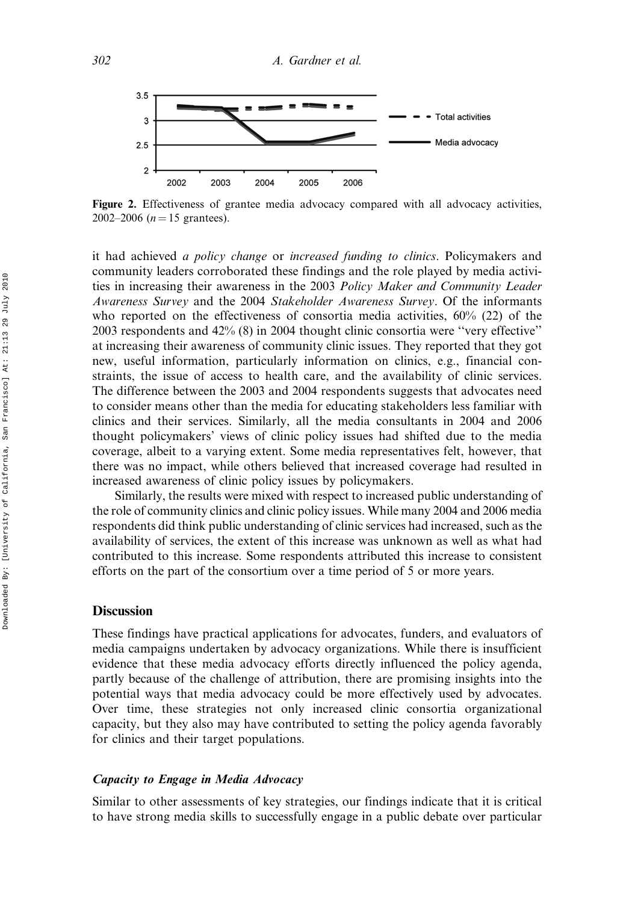

Figure 2. Effectiveness of grantee media advocacy compared with all advocacy activities, 2002–2006 ( $n = 15$  grantees).

it had achieved *a policy change* or *increased funding to clinics*. Policymakers and community leaders corroborated these findings and the role played by media activities in increasing their awareness in the 2003 Policy Maker and Community Leader Awareness Survey and the 2004 Stakeholder Awareness Survey. Of the informants who reported on the effectiveness of consortia media activities, 60% (22) of the 2003 respondents and 42% (8) in 2004 thought clinic consortia were ''very effective'' at increasing their awareness of community clinic issues. They reported that they got new, useful information, particularly information on clinics, e.g., financial constraints, the issue of access to health care, and the availability of clinic services. The difference between the 2003 and 2004 respondents suggests that advocates need to consider means other than the media for educating stakeholders less familiar with clinics and their services. Similarly, all the media consultants in 2004 and 2006 thought policymakers' views of clinic policy issues had shifted due to the media coverage, albeit to a varying extent. Some media representatives felt, however, that there was no impact, while others believed that increased coverage had resulted in increased awareness of clinic policy issues by policymakers.

Similarly, the results were mixed with respect to increased public understanding of the role of community clinics and clinic policy issues. While many 2004 and 2006 media respondents did think public understanding of clinic services had increased, such as the availability of services, the extent of this increase was unknown as well as what had contributed to this increase. Some respondents attributed this increase to consistent efforts on the part of the consortium over a time period of 5 or more years.

#### **Discussion**

These findings have practical applications for advocates, funders, and evaluators of media campaigns undertaken by advocacy organizations. While there is insufficient evidence that these media advocacy efforts directly influenced the policy agenda, partly because of the challenge of attribution, there are promising insights into the potential ways that media advocacy could be more effectively used by advocates. Over time, these strategies not only increased clinic consortia organizational capacity, but they also may have contributed to setting the policy agenda favorably for clinics and their target populations.

#### Capacity to Engage in Media Advocacy

Similar to other assessments of key strategies, our findings indicate that it is critical to have strong media skills to successfully engage in a public debate over particular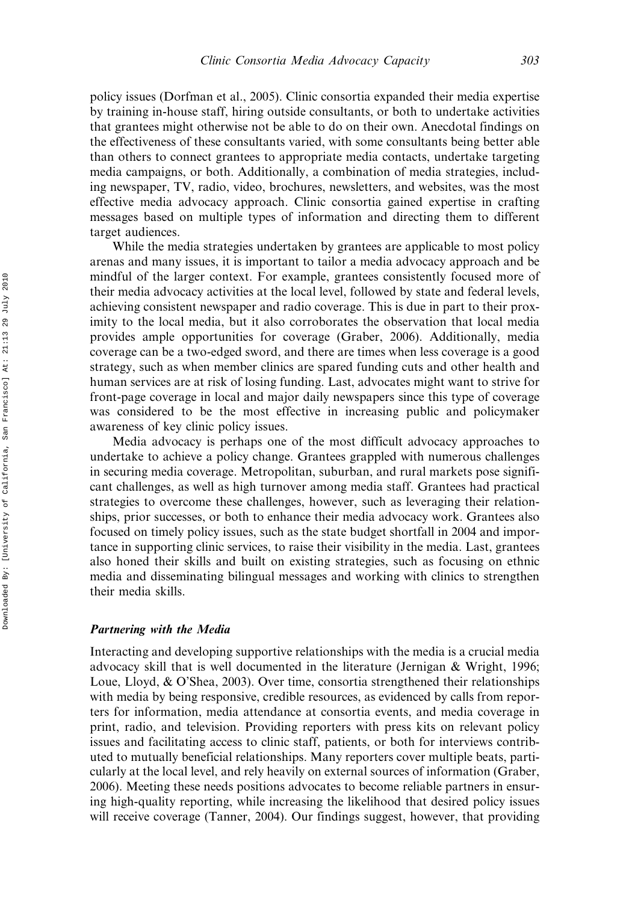policy issues (Dorfman et al., 2005). Clinic consortia expanded their media expertise by training in-house staff, hiring outside consultants, or both to undertake activities that grantees might otherwise not be able to do on their own. Anecdotal findings on the effectiveness of these consultants varied, with some consultants being better able than others to connect grantees to appropriate media contacts, undertake targeting media campaigns, or both. Additionally, a combination of media strategies, including newspaper, TV, radio, video, brochures, newsletters, and websites, was the most effective media advocacy approach. Clinic consortia gained expertise in crafting messages based on multiple types of information and directing them to different target audiences.

While the media strategies undertaken by grantees are applicable to most policy arenas and many issues, it is important to tailor a media advocacy approach and be mindful of the larger context. For example, grantees consistently focused more of their media advocacy activities at the local level, followed by state and federal levels, achieving consistent newspaper and radio coverage. This is due in part to their proximity to the local media, but it also corroborates the observation that local media provides ample opportunities for coverage (Graber, 2006). Additionally, media coverage can be a two-edged sword, and there are times when less coverage is a good strategy, such as when member clinics are spared funding cuts and other health and human services are at risk of losing funding. Last, advocates might want to strive for front-page coverage in local and major daily newspapers since this type of coverage was considered to be the most effective in increasing public and policymaker awareness of key clinic policy issues.

Media advocacy is perhaps one of the most difficult advocacy approaches to undertake to achieve a policy change. Grantees grappled with numerous challenges in securing media coverage. Metropolitan, suburban, and rural markets pose significant challenges, as well as high turnover among media staff. Grantees had practical strategies to overcome these challenges, however, such as leveraging their relationships, prior successes, or both to enhance their media advocacy work. Grantees also focused on timely policy issues, such as the state budget shortfall in 2004 and importance in supporting clinic services, to raise their visibility in the media. Last, grantees also honed their skills and built on existing strategies, such as focusing on ethnic media and disseminating bilingual messages and working with clinics to strengthen their media skills.

#### Partnering with the Media

Interacting and developing supportive relationships with the media is a crucial media advocacy skill that is well documented in the literature (Jernigan & Wright, 1996; Loue, Lloyd, & O'Shea, 2003). Over time, consortia strengthened their relationships with media by being responsive, credible resources, as evidenced by calls from reporters for information, media attendance at consortia events, and media coverage in print, radio, and television. Providing reporters with press kits on relevant policy issues and facilitating access to clinic staff, patients, or both for interviews contributed to mutually beneficial relationships. Many reporters cover multiple beats, particularly at the local level, and rely heavily on external sources of information (Graber, 2006). Meeting these needs positions advocates to become reliable partners in ensuring high-quality reporting, while increasing the likelihood that desired policy issues will receive coverage (Tanner, 2004). Our findings suggest, however, that providing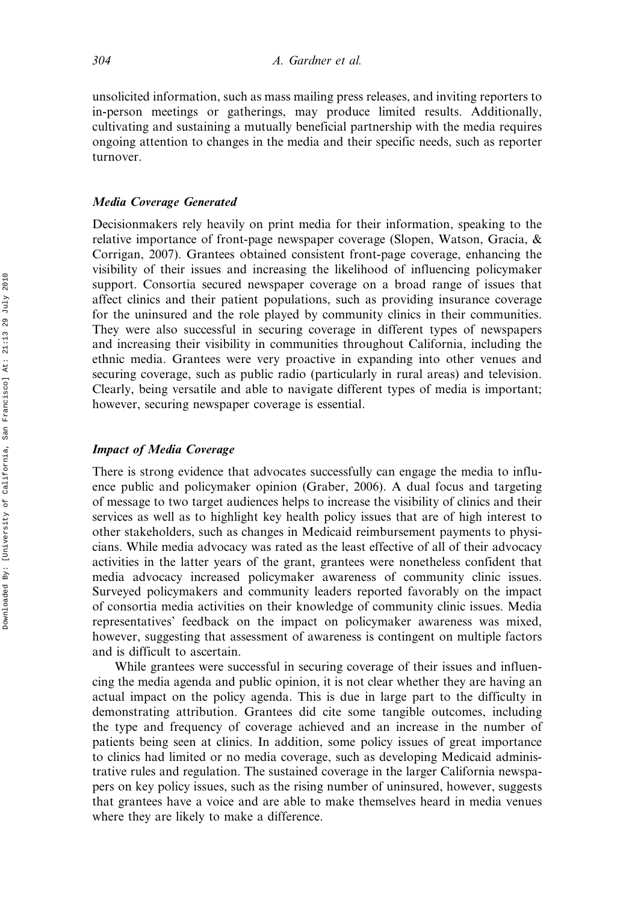unsolicited information, such as mass mailing press releases, and inviting reporters to in-person meetings or gatherings, may produce limited results. Additionally, cultivating and sustaining a mutually beneficial partnership with the media requires ongoing attention to changes in the media and their specific needs, such as reporter turnover.

#### Media Coverage Generated

Decisionmakers rely heavily on print media for their information, speaking to the relative importance of front-page newspaper coverage (Slopen, Watson, Gracia, & Corrigan, 2007). Grantees obtained consistent front-page coverage, enhancing the visibility of their issues and increasing the likelihood of influencing policymaker support. Consortia secured newspaper coverage on a broad range of issues that affect clinics and their patient populations, such as providing insurance coverage for the uninsured and the role played by community clinics in their communities. They were also successful in securing coverage in different types of newspapers and increasing their visibility in communities throughout California, including the ethnic media. Grantees were very proactive in expanding into other venues and securing coverage, such as public radio (particularly in rural areas) and television. Clearly, being versatile and able to navigate different types of media is important; however, securing newspaper coverage is essential.

#### Impact of Media Coverage

There is strong evidence that advocates successfully can engage the media to influence public and policymaker opinion (Graber, 2006). A dual focus and targeting of message to two target audiences helps to increase the visibility of clinics and their services as well as to highlight key health policy issues that are of high interest to other stakeholders, such as changes in Medicaid reimbursement payments to physicians. While media advocacy was rated as the least effective of all of their advocacy activities in the latter years of the grant, grantees were nonetheless confident that media advocacy increased policymaker awareness of community clinic issues. Surveyed policymakers and community leaders reported favorably on the impact of consortia media activities on their knowledge of community clinic issues. Media representatives' feedback on the impact on policymaker awareness was mixed, however, suggesting that assessment of awareness is contingent on multiple factors and is difficult to ascertain.

While grantees were successful in securing coverage of their issues and influencing the media agenda and public opinion, it is not clear whether they are having an actual impact on the policy agenda. This is due in large part to the difficulty in demonstrating attribution. Grantees did cite some tangible outcomes, including the type and frequency of coverage achieved and an increase in the number of patients being seen at clinics. In addition, some policy issues of great importance to clinics had limited or no media coverage, such as developing Medicaid administrative rules and regulation. The sustained coverage in the larger California newspapers on key policy issues, such as the rising number of uninsured, however, suggests that grantees have a voice and are able to make themselves heard in media venues where they are likely to make a difference.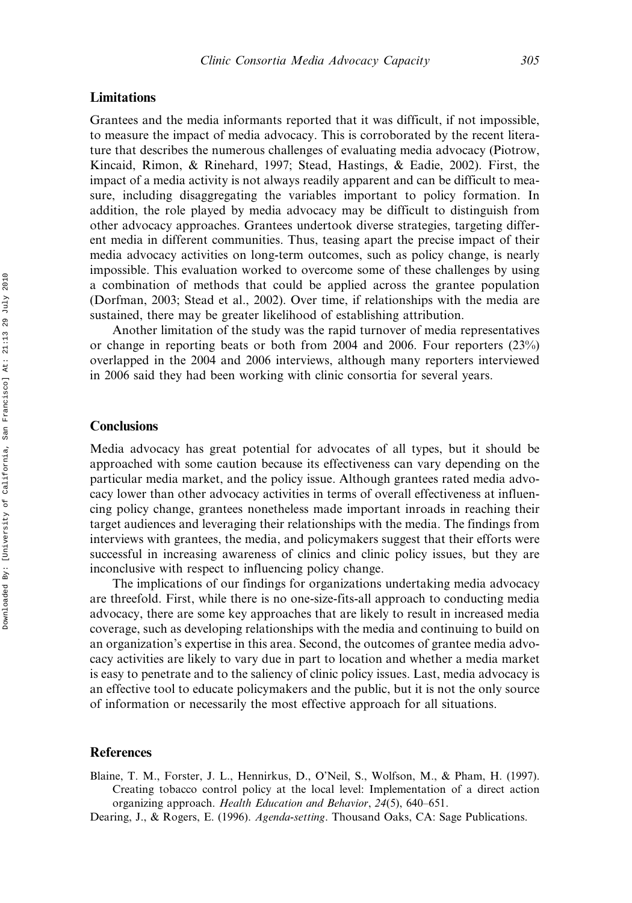#### Limitations

Grantees and the media informants reported that it was difficult, if not impossible, to measure the impact of media advocacy. This is corroborated by the recent literature that describes the numerous challenges of evaluating media advocacy (Piotrow, Kincaid, Rimon, & Rinehard, 1997; Stead, Hastings, & Eadie, 2002). First, the impact of a media activity is not always readily apparent and can be difficult to measure, including disaggregating the variables important to policy formation. In addition, the role played by media advocacy may be difficult to distinguish from other advocacy approaches. Grantees undertook diverse strategies, targeting different media in different communities. Thus, teasing apart the precise impact of their media advocacy activities on long-term outcomes, such as policy change, is nearly impossible. This evaluation worked to overcome some of these challenges by using a combination of methods that could be applied across the grantee population (Dorfman, 2003; Stead et al., 2002). Over time, if relationships with the media are sustained, there may be greater likelihood of establishing attribution.

Another limitation of the study was the rapid turnover of media representatives or change in reporting beats or both from 2004 and 2006. Four reporters (23%) overlapped in the 2004 and 2006 interviews, although many reporters interviewed in 2006 said they had been working with clinic consortia for several years.

#### **Conclusions**

Media advocacy has great potential for advocates of all types, but it should be approached with some caution because its effectiveness can vary depending on the particular media market, and the policy issue. Although grantees rated media advocacy lower than other advocacy activities in terms of overall effectiveness at influencing policy change, grantees nonetheless made important inroads in reaching their target audiences and leveraging their relationships with the media. The findings from interviews with grantees, the media, and policymakers suggest that their efforts were successful in increasing awareness of clinics and clinic policy issues, but they are inconclusive with respect to influencing policy change.

The implications of our findings for organizations undertaking media advocacy are threefold. First, while there is no one-size-fits-all approach to conducting media advocacy, there are some key approaches that are likely to result in increased media coverage, such as developing relationships with the media and continuing to build on an organization's expertise in this area. Second, the outcomes of grantee media advocacy activities are likely to vary due in part to location and whether a media market is easy to penetrate and to the saliency of clinic policy issues. Last, media advocacy is an effective tool to educate policymakers and the public, but it is not the only source of information or necessarily the most effective approach for all situations.

#### References

Blaine, T. M., Forster, J. L., Hennirkus, D., O'Neil, S., Wolfson, M., & Pham, H. (1997). Creating tobacco control policy at the local level: Implementation of a direct action organizing approach. Health Education and Behavior, 24(5), 640–651.

Dearing, J., & Rogers, E. (1996). Agenda-setting. Thousand Oaks, CA: Sage Publications.